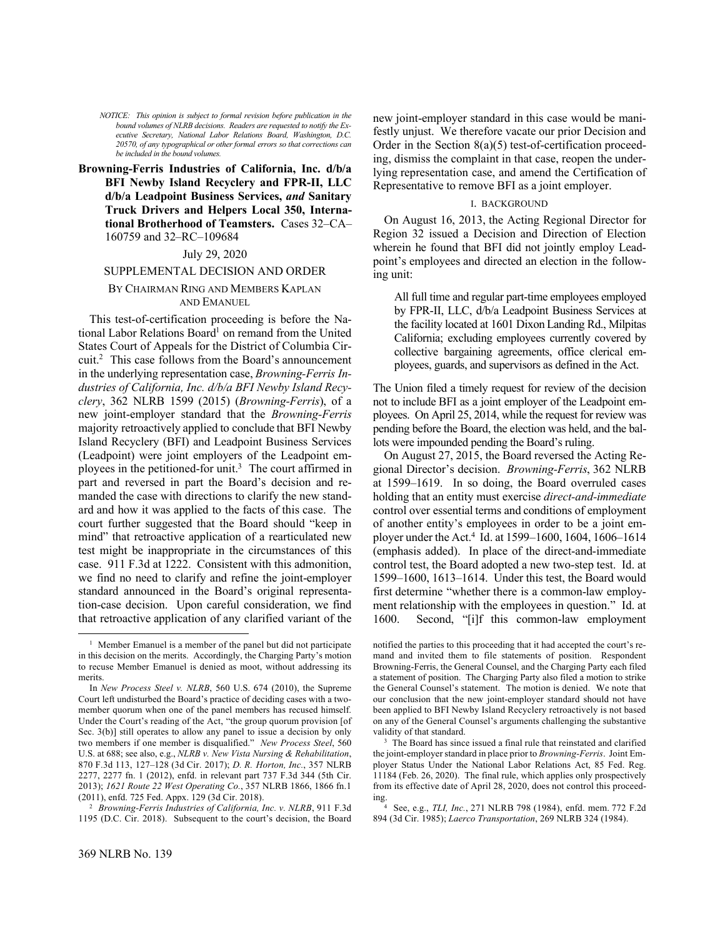*NOTICE: This opinion is subject to formal revision before publication in the bound volumes of NLRB decisions. Readers are requested to notify the Executive Secretary, National Labor Relations Board, Washington, D.C. 20570, of any typographical or other formal errors so that corrections can be included in the bound volumes.*

**Browning-Ferris Industries of California, Inc. d/b/a BFI Newby Island Recyclery and FPR-II, LLC d/b/a Leadpoint Business Services,** *and* **Sanitary Truck Drivers and Helpers Local 350, International Brotherhood of Teamsters.** Cases 32–CA– 160759 and 32–RC–109684

# July 29, 2020

#### SUPPLEMENTAL DECISION AND ORDER

### BY CHAIRMAN RING AND MEMBERS KAPLAN AND EMANUEL

This test-of-certification proceeding is before the National Labor Relations Board<sup>1</sup> on remand from the United States Court of Appeals for the District of Columbia Circuit.<sup>2</sup> This case follows from the Board's announcement in the underlying representation case, *Browning-Ferris Industries of California, Inc. d/b/a BFI Newby Island Recyclery*, 362 NLRB 1599 (2015) (*Browning-Ferris*), of a new joint-employer standard that the *Browning-Ferris* majority retroactively applied to conclude that BFI Newby Island Recyclery (BFI) and Leadpoint Business Services (Leadpoint) were joint employers of the Leadpoint employees in the petitioned-for unit.<sup>3</sup> The court affirmed in part and reversed in part the Board's decision and remanded the case with directions to clarify the new standard and how it was applied to the facts of this case. The court further suggested that the Board should "keep in mind" that retroactive application of a rearticulated new test might be inappropriate in the circumstances of this case. 911 F.3d at 1222. Consistent with this admonition, we find no need to clarify and refine the joint-employer standard announced in the Board's original representation-case decision. Upon careful consideration, we find that retroactive application of any clarified variant of the

<sup>2</sup> *Browning-Ferris Industries of California, Inc. v. NLRB*, 911 F.3d 1195 (D.C. Cir. 2018). Subsequent to the court's decision, the Board new joint-employer standard in this case would be manifestly unjust. We therefore vacate our prior Decision and Order in the Section  $8(a)(5)$  test-of-certification proceeding, dismiss the complaint in that case, reopen the underlying representation case, and amend the Certification of Representative to remove BFI as a joint employer.

### I. BACKGROUND

On August 16, 2013, the Acting Regional Director for Region 32 issued a Decision and Direction of Election wherein he found that BFI did not jointly employ Leadpoint's employees and directed an election in the following unit:

All full time and regular part-time employees employed by FPR-II, LLC, d/b/a Leadpoint Business Services at the facility located at 1601 Dixon Landing Rd., Milpitas California; excluding employees currently covered by collective bargaining agreements, office clerical employees, guards, and supervisors as defined in the Act.

The Union filed a timely request for review of the decision not to include BFI as a joint employer of the Leadpoint employees. On April 25, 2014, while the request for review was pending before the Board, the election was held, and the ballots were impounded pending the Board's ruling.

On August 27, 2015, the Board reversed the Acting Regional Director's decision. *Browning-Ferris*, 362 NLRB at 1599–1619. In so doing, the Board overruled cases holding that an entity must exercise *direct-and-immediate* control over essential terms and conditions of employment of another entity's employees in order to be a joint employer under the Act.<sup>4</sup> Id. at 1599–1600, 1604, 1606–1614 (emphasis added). In place of the direct-and-immediate control test, the Board adopted a new two-step test. Id. at 1599–1600, 1613–1614. Under this test, the Board would first determine "whether there is a common-law employment relationship with the employees in question." Id. at 1600. Second, "[i]f this common-law employment

<sup>&</sup>lt;sup>1</sup> Member Emanuel is a member of the panel but did not participate in this decision on the merits. Accordingly, the Charging Party's motion to recuse Member Emanuel is denied as moot, without addressing its merits.

In *New Process Steel v. NLRB*, 560 U.S. 674 (2010), the Supreme Court left undisturbed the Board's practice of deciding cases with a twomember quorum when one of the panel members has recused himself. Under the Court's reading of the Act, "the group quorum provision [of Sec. 3(b)] still operates to allow any panel to issue a decision by only two members if one member is disqualified." *New Process Steel*, 560 U.S. at 688; see also, e.g., *NLRB v. New Vista Nursing & Rehabilitation*, 870 F.3d 113, 127–128 (3d Cir. 2017); *D. R. Horton, Inc.*, 357 NLRB 2277, 2277 fn. 1 (2012), enfd. in relevant part 737 F.3d 344 (5th Cir. 2013); *1621 Route 22 West Operating Co.*, 357 NLRB 1866, 1866 fn.1 (2011), enfd. 725 Fed. Appx. 129 (3d Cir. 2018).

notified the parties to this proceeding that it had accepted the court's remand and invited them to file statements of position. Respondent Browning-Ferris, the General Counsel, and the Charging Party each filed a statement of position. The Charging Party also filed a motion to strike the General Counsel's statement. The motion is denied. We note that our conclusion that the new joint-employer standard should not have been applied to BFI Newby Island Recyclery retroactively is not based on any of the General Counsel's arguments challenging the substantive validity of that standard.

<sup>&</sup>lt;sup>3</sup> The Board has since issued a final rule that reinstated and clarified the joint-employer standard in place prior to *Browning-Ferris*. Joint Employer Status Under the National Labor Relations Act, 85 Fed. Reg. 11184 (Feb. 26, 2020). The final rule, which applies only prospectively from its effective date of April 28, 2020, does not control this proceeding. 4

See, e.g., *TLI, Inc.*, 271 NLRB 798 (1984), enfd. mem. 772 F.2d 894 (3d Cir. 1985); *Laerco Transportation*, 269 NLRB 324 (1984).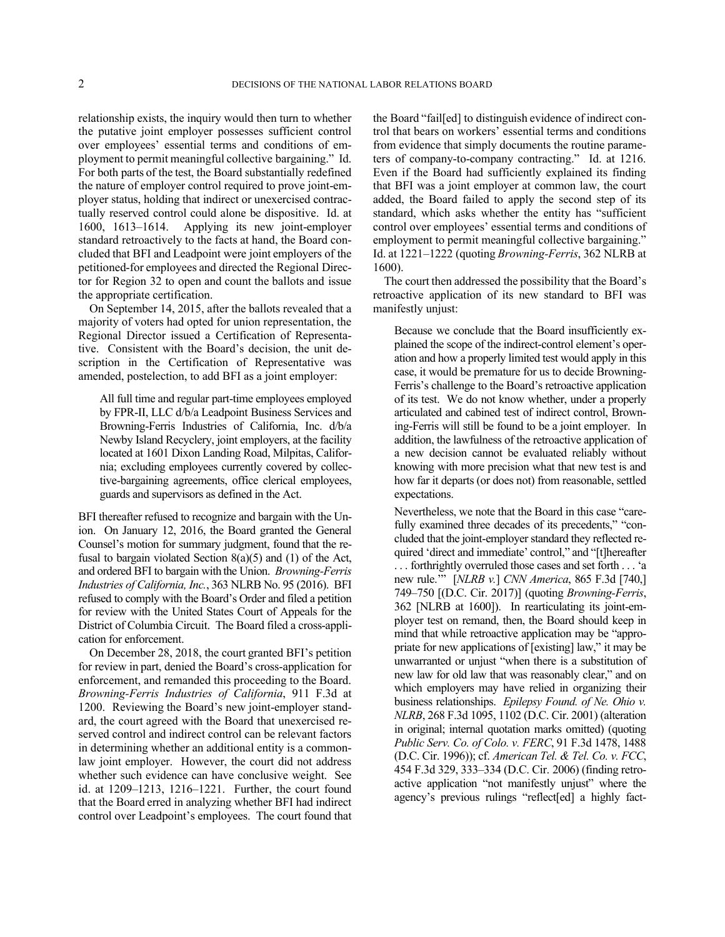relationship exists, the inquiry would then turn to whether the putative joint employer possesses sufficient control over employees' essential terms and conditions of employment to permit meaningful collective bargaining." Id. For both parts of the test, the Board substantially redefined the nature of employer control required to prove joint-employer status, holding that indirect or unexercised contractually reserved control could alone be dispositive. Id. at 1600, 1613–1614. Applying its new joint-employer standard retroactively to the facts at hand, the Board concluded that BFI and Leadpoint were joint employers of the petitioned-for employees and directed the Regional Director for Region 32 to open and count the ballots and issue the appropriate certification.

On September 14, 2015, after the ballots revealed that a majority of voters had opted for union representation, the Regional Director issued a Certification of Representative. Consistent with the Board's decision, the unit description in the Certification of Representative was amended, postelection, to add BFI as a joint employer:

All full time and regular part-time employees employed by FPR-II, LLC d/b/a Leadpoint Business Services and Browning-Ferris Industries of California, Inc. d/b/a Newby Island Recyclery, joint employers, at the facility located at 1601 Dixon Landing Road, Milpitas, California; excluding employees currently covered by collective-bargaining agreements, office clerical employees, guards and supervisors as defined in the Act.

BFI thereafter refused to recognize and bargain with the Union. On January 12, 2016, the Board granted the General Counsel's motion for summary judgment, found that the refusal to bargain violated Section  $8(a)(5)$  and (1) of the Act, and ordered BFI to bargain with the Union. *Browning-Ferris Industries of California, Inc.*, 363 NLRB No. 95 (2016). BFI refused to comply with the Board's Order and filed a petition for review with the United States Court of Appeals for the District of Columbia Circuit. The Board filed a cross-application for enforcement.

On December 28, 2018, the court granted BFI's petition for review in part, denied the Board's cross-application for enforcement, and remanded this proceeding to the Board. *Browning-Ferris Industries of California*, 911 F.3d at 1200. Reviewing the Board's new joint-employer standard, the court agreed with the Board that unexercised reserved control and indirect control can be relevant factors in determining whether an additional entity is a commonlaw joint employer. However, the court did not address whether such evidence can have conclusive weight. See id. at 1209–1213, 1216–1221. Further, the court found that the Board erred in analyzing whether BFI had indirect control over Leadpoint's employees. The court found that the Board "fail[ed] to distinguish evidence of indirect control that bears on workers' essential terms and conditions from evidence that simply documents the routine parameters of company-to-company contracting." Id. at 1216. Even if the Board had sufficiently explained its finding that BFI was a joint employer at common law, the court added, the Board failed to apply the second step of its standard, which asks whether the entity has "sufficient control over employees' essential terms and conditions of employment to permit meaningful collective bargaining." Id. at 1221–1222 (quoting *Browning-Ferris*, 362 NLRB at 1600).

The court then addressed the possibility that the Board's retroactive application of its new standard to BFI was manifestly unjust:

Because we conclude that the Board insufficiently explained the scope of the indirect-control element's operation and how a properly limited test would apply in this case, it would be premature for us to decide Browning-Ferris's challenge to the Board's retroactive application of its test. We do not know whether, under a properly articulated and cabined test of indirect control, Browning-Ferris will still be found to be a joint employer. In addition, the lawfulness of the retroactive application of a new decision cannot be evaluated reliably without knowing with more precision what that new test is and how far it departs (or does not) from reasonable, settled expectations.

Nevertheless, we note that the Board in this case "carefully examined three decades of its precedents," "concluded that the joint-employer standard they reflected required 'direct and immediate' control," and "[t]hereafter . . . forthrightly overruled those cases and set forth . . . 'a new rule.'" [*NLRB v.*] *CNN America*, 865 F.3d [740,] 749–750 [(D.C. Cir. 2017)] (quoting *Browning-Ferris*, 362 [NLRB at 1600]). In rearticulating its joint-employer test on remand, then, the Board should keep in mind that while retroactive application may be "appropriate for new applications of [existing] law," it may be unwarranted or unjust "when there is a substitution of new law for old law that was reasonably clear," and on which employers may have relied in organizing their business relationships. *Epilepsy Found. of Ne. Ohio v. NLRB*, 268 F.3d 1095, 1102 (D.C. Cir. 2001) (alteration in original; internal quotation marks omitted) (quoting *Public Serv. Co. of Colo. v. FERC*, 91 F.3d 1478, 1488 (D.C. Cir. 1996)); cf. *American Tel. & Tel. Co. v. FCC*, 454 F.3d 329, 333–334 (D.C. Cir. 2006) (finding retroactive application "not manifestly unjust" where the agency's previous rulings "reflect[ed] a highly fact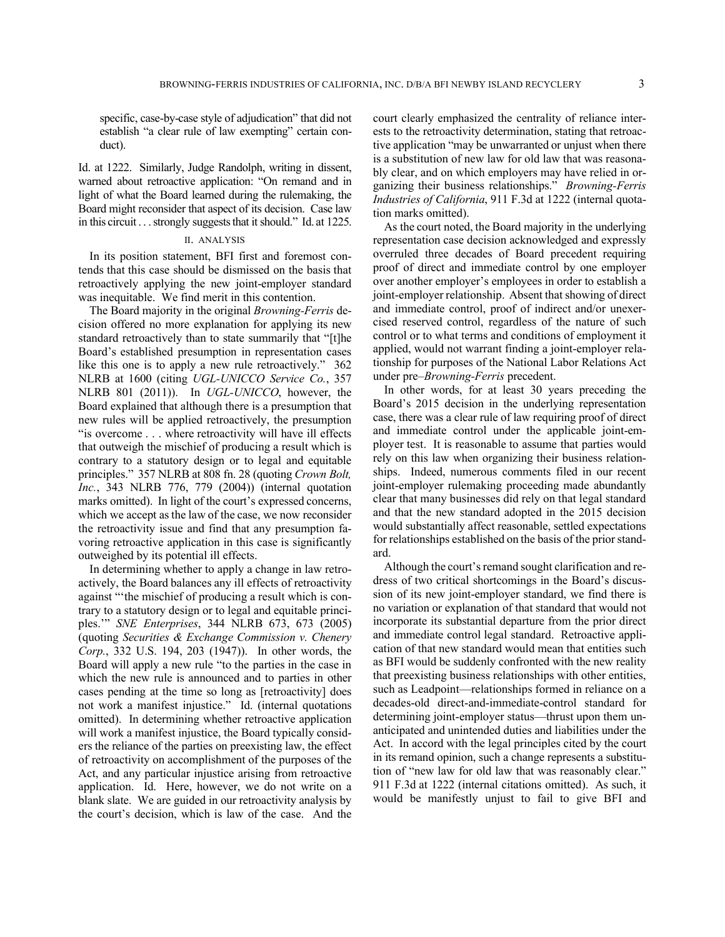specific, case-by-case style of adjudication" that did not establish "a clear rule of law exempting" certain conduct).

Id. at 1222. Similarly, Judge Randolph, writing in dissent, warned about retroactive application: "On remand and in light of what the Board learned during the rulemaking, the Board might reconsider that aspect of its decision. Case law in this circuit . . . strongly suggests that it should." Id. at 1225.

# II. ANALYSIS

In its position statement, BFI first and foremost contends that this case should be dismissed on the basis that retroactively applying the new joint-employer standard was inequitable. We find merit in this contention.

The Board majority in the original *Browning-Ferris* decision offered no more explanation for applying its new standard retroactively than to state summarily that "[t]he Board's established presumption in representation cases like this one is to apply a new rule retroactively." 362 NLRB at 1600 (citing *UGL-UNICCO Service Co.*, 357 NLRB 801 (2011)). In *UGL-UNICCO*, however, the Board explained that although there is a presumption that new rules will be applied retroactively, the presumption "is overcome . . . where retroactivity will have ill effects that outweigh the mischief of producing a result which is contrary to a statutory design or to legal and equitable principles." 357 NLRB at 808 fn. 28 (quoting *Crown Bolt, Inc.*, 343 NLRB 776, 779 (2004)) (internal quotation marks omitted). In light of the court's expressed concerns, which we accept as the law of the case, we now reconsider the retroactivity issue and find that any presumption favoring retroactive application in this case is significantly outweighed by its potential ill effects.

In determining whether to apply a change in law retroactively, the Board balances any ill effects of retroactivity against "'the mischief of producing a result which is contrary to a statutory design or to legal and equitable principles.'" *SNE Enterprises*, 344 NLRB 673, 673 (2005) (quoting *Securities & Exchange Commission v. Chenery Corp.*, 332 U.S. 194, 203 (1947)). In other words, the Board will apply a new rule "to the parties in the case in which the new rule is announced and to parties in other cases pending at the time so long as [retroactivity] does not work a manifest injustice." Id. (internal quotations omitted). In determining whether retroactive application will work a manifest injustice, the Board typically considers the reliance of the parties on preexisting law, the effect of retroactivity on accomplishment of the purposes of the Act, and any particular injustice arising from retroactive application. Id. Here, however, we do not write on a blank slate. We are guided in our retroactivity analysis by the court's decision, which is law of the case. And the court clearly emphasized the centrality of reliance interests to the retroactivity determination, stating that retroactive application "may be unwarranted or unjust when there is a substitution of new law for old law that was reasonably clear, and on which employers may have relied in organizing their business relationships." *Browning-Ferris Industries of California*, 911 F.3d at 1222 (internal quotation marks omitted).

As the court noted, the Board majority in the underlying representation case decision acknowledged and expressly overruled three decades of Board precedent requiring proof of direct and immediate control by one employer over another employer's employees in order to establish a joint-employer relationship. Absent that showing of direct and immediate control, proof of indirect and/or unexercised reserved control, regardless of the nature of such control or to what terms and conditions of employment it applied, would not warrant finding a joint-employer relationship for purposes of the National Labor Relations Act under pre–*Browning-Ferris* precedent.

In other words, for at least 30 years preceding the Board's 2015 decision in the underlying representation case, there was a clear rule of law requiring proof of direct and immediate control under the applicable joint-employer test. It is reasonable to assume that parties would rely on this law when organizing their business relationships. Indeed, numerous comments filed in our recent joint-employer rulemaking proceeding made abundantly clear that many businesses did rely on that legal standard and that the new standard adopted in the 2015 decision would substantially affect reasonable, settled expectations for relationships established on the basis of the prior standard.

Although the court's remand sought clarification and redress of two critical shortcomings in the Board's discussion of its new joint-employer standard, we find there is no variation or explanation of that standard that would not incorporate its substantial departure from the prior direct and immediate control legal standard. Retroactive application of that new standard would mean that entities such as BFI would be suddenly confronted with the new reality that preexisting business relationships with other entities, such as Leadpoint—relationships formed in reliance on a decades-old direct-and-immediate-control standard for determining joint-employer status—thrust upon them unanticipated and unintended duties and liabilities under the Act. In accord with the legal principles cited by the court in its remand opinion, such a change represents a substitution of "new law for old law that was reasonably clear." 911 F.3d at 1222 (internal citations omitted). As such, it would be manifestly unjust to fail to give BFI and